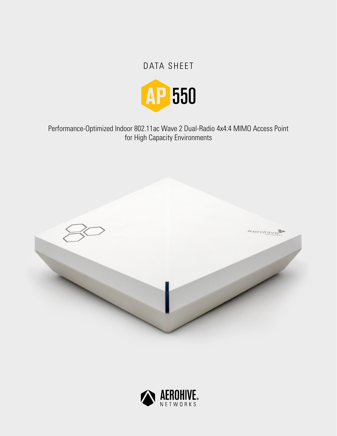# DATA SHEET



Performance-Optimized Indoor 802.11ac Wave 2 Dual-Radio 4x4:4 MIMO Access Point for High Capacity Environments



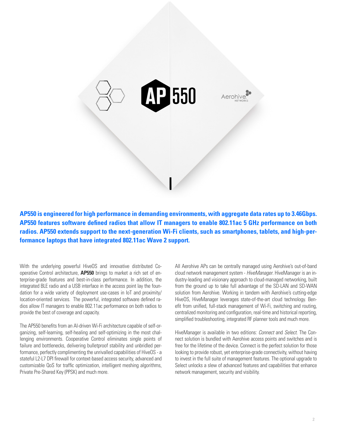

**AP550 is engineered for high performance in demanding environments, with aggregate data rates up to 3.46Gbps. AP550 features software defined radios that allow IT managers to enable 802.11ac 5 GHz performance on both radios. AP550 extends support to the next-generation Wi-Fi clients, such as smartphones, tablets, and high-performance laptops that have integrated 802.11ac Wave 2 support.**

With the underlying powerful HiveOS and innovative distributed Cooperative Control architecture, **AP550** brings to market a rich set of enterprise-grade features and best-in-class performance. In addition, the integrated BLE radio and a USB interface in the access point lay the foundation for a wide variety of deployment use-cases in IoT and proximity/ location-oriented services. The powerful, integrated software defined radios allow IT managers to enable 802.11ac performance on both radios to provide the best of coverage and capacity.

The AP550 benefits from an AI-driven Wi-Fi architecture capable of self-organizing, self-learning, self-healing and self-optimizing in the most challenging environments. Cooperative Control eliminates single points of failure and bottlenecks, delivering bulletproof stability and unbridled performance, perfectly complimenting the unrivalled capabilities of HiveOS - a stateful L2-L7 DPI firewall for context-based access security, advanced and customizable QoS for traffic optimization, intelligent meshing algorithms, Private Pre-Shared Key (PPSK) and much more.

All Aerohive APs can be centrally managed using Aerohive's out-of-band cloud network management system - *HiveManager*. HiveManager is an industry-leading and visionary approach to cloud-managed networking, built from the ground up to take full advantage of the SD-LAN and SD-WAN solution from Aerohive. Working in tandem with Aerohive's cutting-edge HiveOS, HiveManager leverages state-of-the-art cloud technology. Benefit from unified, full-stack management of Wi-Fi, switching and routing, centralized monitoring and configuration, real-time and historical reporting, simplified troubleshooting, integrated RF planner tools and much more.

HiveManager is available in two editions: *Connect* and *Select*. The Connect solution is bundled with Aerohive access points and switches and is free for the lifetime of the device. Connect is the perfect solution for those looking to provide robust, yet enterprise-grade connectivity, without having to invest in the full suite of management features. The optional upgrade to Select unlocks a slew of advanced features and capabilities that enhance network management, security and visibility.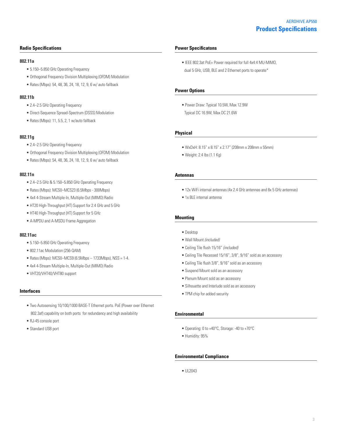## **Radio Specifications**

#### **802.11a**

- 5.150–5.850 GHz Operating Frequency
- Orthogonal Frequency Division Multiplexing (OFDM) Modulation
- Rates (Mbps): 54, 48, 36, 24, 18, 12, 9, 6 w/ auto fallback

## **802.11b**

- 2.4–2.5 GHz Operating Frequency
- Direct-Sequence Spread-Spectrum (DSSS) Modulation
- Rates (Mbps): 11, 5.5, 2, 1 w/auto fallback

## **802.11g**

- 2.4–2.5 GHz Operating Frequency
- Orthogonal Frequency Division Multiplexing (OFDM) Modulation
- Rates (Mbps): 54, 48, 36, 24, 18, 12, 9, 6 w/ auto fallback

## **802.11n**

- 2.4–2.5 GHz & 5.150–5.850 GHz Operating Frequency
- Rates (Mbps): MCS0–MCS23 (6.5Mbps 300Mbps)
- 4x4 4-Stream Multiple-In, Multiple-Out (MIMO) Radio
- HT20 High-Throughput (HT) Support for 2.4 GHz and 5 GHz
- HT40 High-Throughput (HT) Support for 5 GHz
- A-MPDU and A-MSDU Frame Aggregation

## **802.11ac**

- 5.150–5.850 GHz Operating Frequency
- 802.11ac Modulation (256-QAM)
- $\bullet$  Rates (Mbps): MCS0-MCS9 (6.5Mbps 1733Mbps), NSS = 1-4.
- 4x4 4-Stream Multiple-In, Multiple-Out (MIMO) Radio
- VHT20/VHT40/VHT80 support

## **Interfaces**

- Two Autosensing 10/100/1000 BASE-T Ethernet ports. PoE (Power over Ethernet 802.3af) capability on both ports for redundancy and high availability
- RJ-45 console port
- Standard USB port

#### **Power Specificatons**

• IEEE 802.3at PoE+ Power required for full 4x4:4 MU-MIMO, dual 5 GHz, USB, BLE and 2 Ethernet ports to operate\*

## **Power Options**

• Power Draw: Typical 10.5W, Max 12.9W Typical DC 16.9W, Max DC 21.6W

## **Physical**

- WxDxH: 8.15" x 8.15" x 2.17" (208mm x 208mm x 55mm)
- Weight: 2.4 lbs (1.1 Kg)

## **Antennas**

- 12x WiFi internal antennas (4x 2.4 GHz antennas and 8x 5 GHz antennas)
- 1x BLE internal antenna

## **Mounting**

- Desktop
- Wall Mount *(included)*
- Ceiling Tile flush 15/16" *(included)*
- Ceiling Tile Recessed 15/16", 3/8", 9/16" sold as an accessory
- Ceiling Tile flush 3/8", 9/16" sold as an accessory
- Suspend Mount sold as an accessory
- Plenum Mount sold as an accessory
- Silhouette and Interlude sold as an accessory
- TPM chip for added security

### **Environmental**

- Operating: 0 to +40°C, Storage: -40 to +70°C
- Humidity: 95%

## **Environmental Compliance**

• UL2043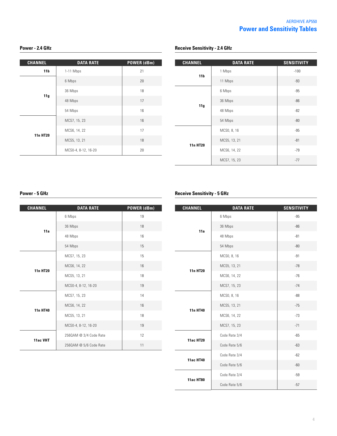## **Power - 2.4 GHz**

| <b>CHANNEL</b>  | <b>DATA RATE</b>    | <b>POWER (dBm)</b> |
|-----------------|---------------------|--------------------|
| 11 <sub>b</sub> | 1-11 Mbps           | 21                 |
| 11g             | 6 Mbps              | 20                 |
|                 | 36 Mbps             | 18                 |
|                 | 48 Mbps             | 17                 |
|                 | 54 Mbps             | 16                 |
| <b>11n HT20</b> | MCS7, 15, 23        | 16                 |
|                 | MCS6, 14, 22        | 17                 |
|                 | MCS5, 13, 21        | 18                 |
|                 | MCS0-4, 8-12, 16-20 | 20                 |

| <b>CHANNEL</b>  | <b>DATA RATE</b> | <b>SENSITIVITY</b> |
|-----------------|------------------|--------------------|
| 11 <sub>b</sub> | 1 Mbps           | $-100$             |
|                 | 11 Mbps          | $-93$              |
| 11g             | 6 Mbps           | $-95$              |
|                 | 36 Mbps          | $-86$              |
|                 | 48 Mbps          | $-82$              |
|                 | 54 Mbps          | $-80$              |
| <b>11n HT20</b> | MCS0, 8, 16      | $-95$              |
|                 | MCS5, 13, 21     | $-81$              |
|                 | MCS6, 14, 22     | $-79$              |
|                 | MCS7, 15, 23     | $-77$              |

## **Power - 5 GHz**

| <b>CHANNEL</b>  | <b>DATA RATE</b>       | POWER (dBm) |
|-----------------|------------------------|-------------|
| 11a             | 6 Mbps                 | 19          |
|                 | 36 Mbps                | 18          |
|                 | 48 Mbps                | 16          |
|                 | 54 Mbps                | 15          |
| <b>11n HT20</b> | MCS7, 15, 23           | 15          |
|                 | MCS6, 14, 22           | 16          |
|                 | MCS5, 13, 21           | 18          |
|                 | MCS0-4, 8-12, 16-20    | 19          |
| 11n HT40        | MCS7, 15, 23           | 14          |
|                 | MCS6, 14, 22           | 16          |
|                 | MCS5, 13, 21           | 18          |
|                 | MCS0-4, 8-12, 16-20    | 19          |
| 11ac VHT        | 2560AM @ 3/4 Code Rate | 12          |
|                 | 2560AM @ 5/6 Code Rate | 11          |

## **Receive Sensitivity - 5 GHz**

**Receive Sensitivity - 2.4 GHz**

| <b>CHANNEL</b>   | <b>DATA RATE</b> | <b>SENSITIVITY</b> |
|------------------|------------------|--------------------|
| 11a              | 6 Mbps           | $-95$              |
|                  | 36 Mbps          | $-86$              |
|                  | 48 Mbps          | $-81$              |
|                  | 54 Mbps          | $-80$              |
| <b>11n HT20</b>  | MCS0, 8, 16      | $-91$              |
|                  | MCS5, 13, 21     | $-78$              |
|                  | MCS6, 14, 22     | $-76$              |
|                  | MCS7, 15, 23     | $-74$              |
| 11n HT40         | MCS0, 8, 16      | $-88$              |
|                  | MCS5, 13, 21     | $-75$              |
|                  | MCS6, 14, 22     | $-73$              |
|                  | MCS7, 15, 23     | $-71$              |
| <b>11ac HT20</b> | Code Rate 3/4    | $-65$              |
|                  | Code Rate 5/6    | $-63$              |
| <b>11ac HT40</b> | Code Rate 3/4    | $-62$              |
|                  | Code Rate 5/6    | $-60$              |
| <b>11ac HT80</b> | Code Rate 3/4    | $-59$              |
|                  | Code Rate 5/6    | $-57$              |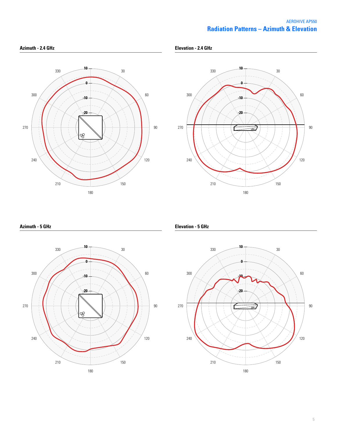## **Radiation Patterns – Azimuth & Elevation** AEROHIVE AP550





**Azimuth - 5 GHz**



**Elevation - 5 GHz**

**Elevation - 2.4 GHz**